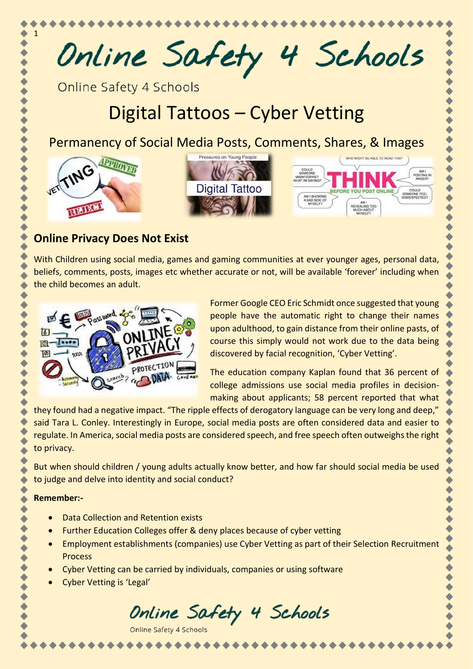Online Safety 4 Schools

Online Safety 4 Schools

1

# Digital Tattoos – Cyber Vetting

## Permanency of Social Media Posts, Comments, Shares, & Images



## **Online Privacy Does Not Exist**

With Children using social media, games and gaming communities at ever younger ages, personal data, beliefs, comments, posts, images etc whether accurate or not, will be available 'forever' including when the child becomes an adult.



Former Google CEO Eric Schmidt once suggested that young people have the automatic right to change their names upon adulthood, to gain distance from their online pasts, of course this simply would not work due to the data being discovered by facial recognition, 'Cyber Vetting'.

The education company Kaplan found that 36 percent of college admissions use social media profiles in decisionmaking about applicants; 58 percent reported that what

they found had a negative impact. "The ripple effects of derogatory language can be very long and deep," said Tara L. Conley. Interestingly in Europe, social media posts are often considered data and easier to regulate. In America, social media posts are considered speech, and free speech often outweighs the right to privacy.

But when should children / young adults actually know better, and how far should social media be used to judge and delve into identity and social conduct?

#### **Remember:-**

- Data Collection and Retention exists
- Further Education Colleges offer & deny places because of cyber vetting
- Employment establishments (companies) use Cyber Vetting as part of their Selection Recruitment **Process**
- Cyber Vetting can be carried by individuals, companies or using software
- Cyber Vetting is 'Legal'

Online Safety 4 Schools

Online Safety 4 School: